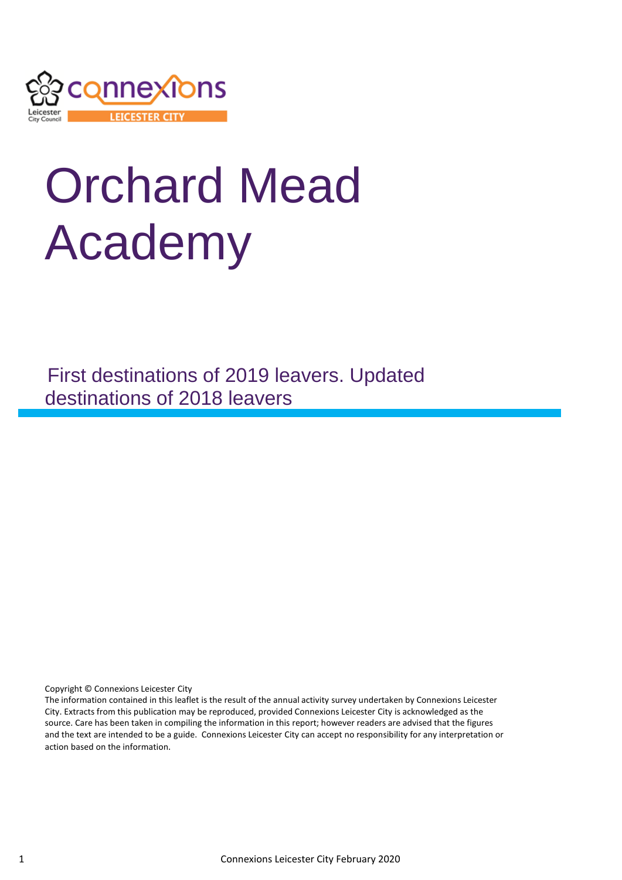

# Orchard Mead Academy

First destinations of 2019 leavers. Updated destinations of 2018 leavers

Copyright © Connexions Leicester City

The information contained in this leaflet is the result of the annual activity survey undertaken by Connexions Leicester City. Extracts from this publication may be reproduced, provided Connexions Leicester City is acknowledged as the source. Care has been taken in compiling the information in this report; however readers are advised that the figures and the text are intended to be a guide. Connexions Leicester City can accept no responsibility for any interpretation or action based on the information.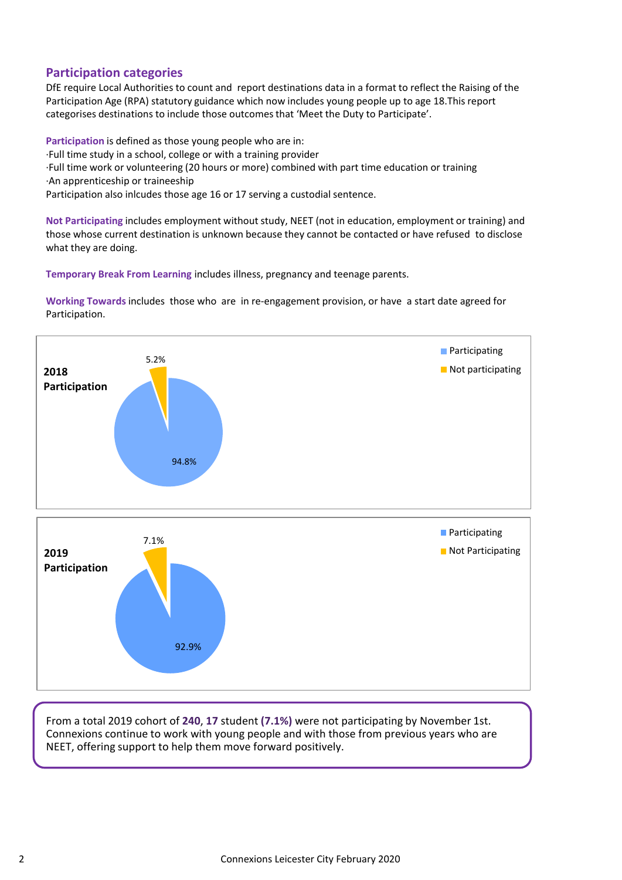## **Participation categories**

DfE require Local Authorities to count and report destinations data in a format to reflect the Raising of the Participation Age (RPA) statutory guidance which now includes young people up to age 18.This report categorises destinations to include those outcomes that 'Meet the Duty to Participate'.

**Participation** is defined as those young people who are in:

·Full time study in a school, college or with a training provider

·Full time work or volunteering (20 hours or more) combined with part time education or training ·An apprenticeship or traineeship

Participation also inlcudes those age 16 or 17 serving a custodial sentence.

**Not Participating** includes employment without study, NEET (not in education, employment or training) and those whose current destination is unknown because they cannot be contacted or have refused to disclose what they are doing.

**Temporary Break From Learning** includes illness, pregnancy and teenage parents.

**Working Towards** includes those who are in re-engagement provision, or have a start date agreed for Participation.



From a total 2019 cohort of **240**, **17** student **(7.1%)** were not participating by November 1st. Connexions continue to work with young people and with those from previous years who are NEET, offering support to help them move forward positively.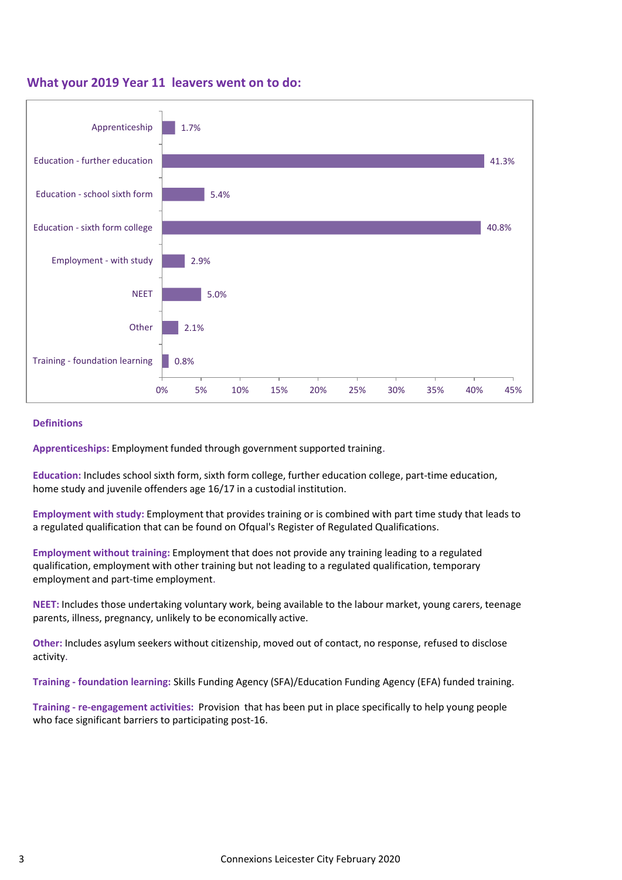### **What your 2019 Year 11 leavers went on to do:**



#### **Definitions**

**Apprenticeships:** Employment funded through government supported training.

**Education:** Includes school sixth form, sixth form college, further education college, part-time education, home study and juvenile offenders age 16/17 in a custodial institution.

**Employment with study:** Employment that provides training or is combined with part time study that leads to a regulated qualification that can be found on Ofqual's Register of Regulated Qualifications.

**Employment without training:** Employment that does not provide any training leading to a regulated qualification, employment with other training but not leading to a regulated qualification, temporary employment and part-time employment.

**NEET:** Includes those undertaking voluntary work, being available to the labour market, young carers, teenage parents, illness, pregnancy, unlikely to be economically active.

**Other:** Includes asylum seekers without citizenship, moved out of contact, no response, refused to disclose activity.

**Training - foundation learning:** Skills Funding Agency (SFA)/Education Funding Agency (EFA) funded training.

**Training - re-engagement activities:** Provision that has been put in place specifically to help young people who face significant barriers to participating post-16.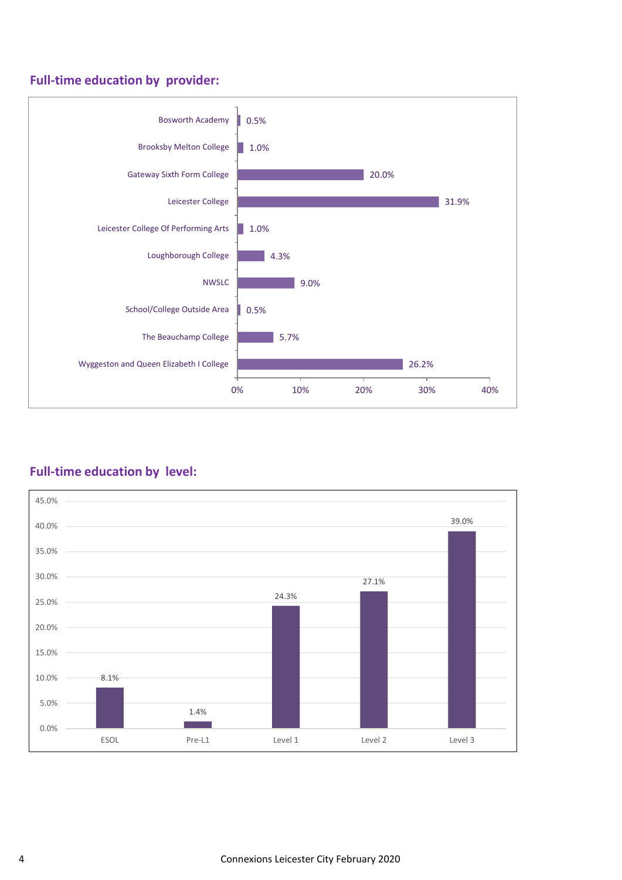# **Full-time education by provider:**



## **Full-time education by level:**